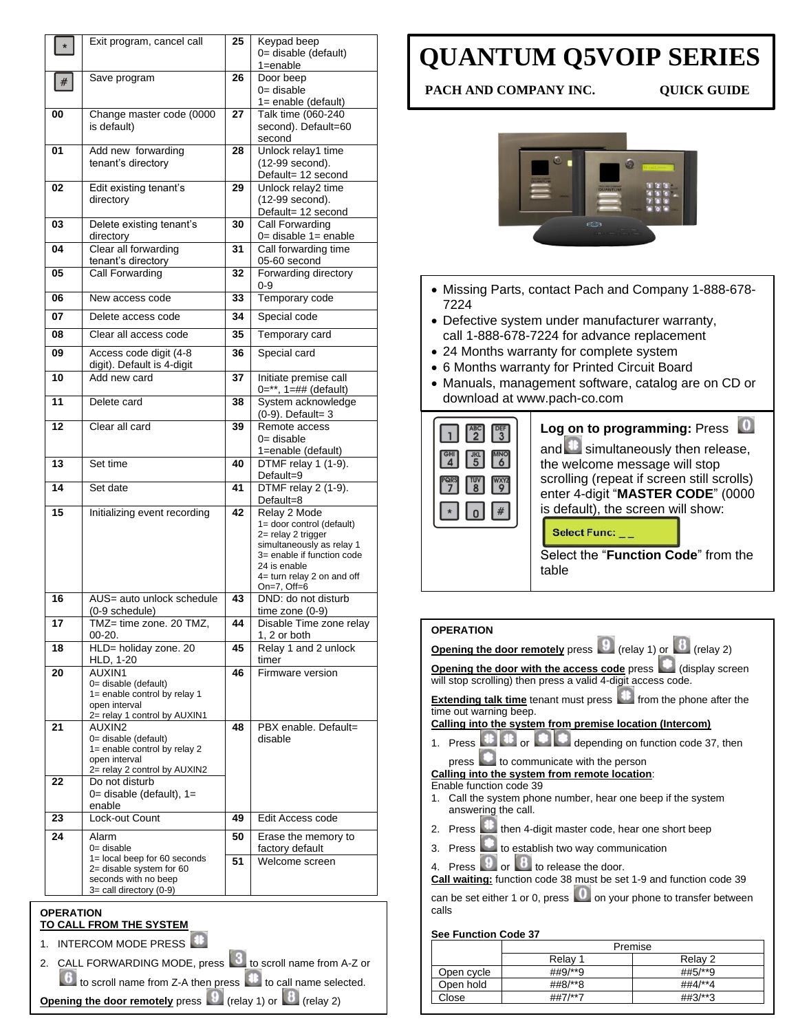| Keypad beep<br>0= disable (default)<br>$1 =$ enable<br>Door beep<br>0= disable<br>$1 =$ enable (default)<br>Talk time (060-240<br>second). Default=60<br>Unlock relay1 time<br>(12-99 second).<br>Default= 12 second<br>Unlock relay2 time<br>(12-99 second).<br>Default= 12 second<br><b>Call Forwarding</b><br>0= disable 1= enable<br>Call forwarding time<br>05-60 second<br>Forwarding directory |
|-------------------------------------------------------------------------------------------------------------------------------------------------------------------------------------------------------------------------------------------------------------------------------------------------------------------------------------------------------------------------------------------------------|
|                                                                                                                                                                                                                                                                                                                                                                                                       |
|                                                                                                                                                                                                                                                                                                                                                                                                       |
|                                                                                                                                                                                                                                                                                                                                                                                                       |
|                                                                                                                                                                                                                                                                                                                                                                                                       |
|                                                                                                                                                                                                                                                                                                                                                                                                       |
|                                                                                                                                                                                                                                                                                                                                                                                                       |
|                                                                                                                                                                                                                                                                                                                                                                                                       |
|                                                                                                                                                                                                                                                                                                                                                                                                       |
| Temporary code                                                                                                                                                                                                                                                                                                                                                                                        |
| Special code                                                                                                                                                                                                                                                                                                                                                                                          |
| Temporary card                                                                                                                                                                                                                                                                                                                                                                                        |
| Special card                                                                                                                                                                                                                                                                                                                                                                                          |
| Initiate premise call<br>$0=**$ , $1=$ ## (default)                                                                                                                                                                                                                                                                                                                                                   |
| System acknowledge<br>$(0-9)$ . Default= 3                                                                                                                                                                                                                                                                                                                                                            |
| Remote access<br>0= disable<br>1=enable (default)                                                                                                                                                                                                                                                                                                                                                     |
| DTMF relay 1 (1-9).<br>Default=9                                                                                                                                                                                                                                                                                                                                                                      |
| DTMF relay 2 (1-9).<br>Default=8                                                                                                                                                                                                                                                                                                                                                                      |
| Relay 2 Mode<br>1= door control (default)<br>2= relay 2 trigger<br>simultaneously as relay 1<br>3= enable if function code<br>24 is enable<br>4= turn relay 2 on and off<br>On=7, Off=6                                                                                                                                                                                                               |
| DND: do not disturb<br>time zone $(0-9)$                                                                                                                                                                                                                                                                                                                                                              |
| Disable Time zone relay<br>1, 2 or both                                                                                                                                                                                                                                                                                                                                                               |
| Relay 1 and 2 unlock                                                                                                                                                                                                                                                                                                                                                                                  |
| Firmware version                                                                                                                                                                                                                                                                                                                                                                                      |
|                                                                                                                                                                                                                                                                                                                                                                                                       |
| PBX enable. Default=                                                                                                                                                                                                                                                                                                                                                                                  |
|                                                                                                                                                                                                                                                                                                                                                                                                       |
| Edit Access code                                                                                                                                                                                                                                                                                                                                                                                      |
| Erase the memory to<br>factory default<br>Welcome screen                                                                                                                                                                                                                                                                                                                                              |
|                                                                                                                                                                                                                                                                                                                                                                                                       |

 $\boxed{6}$  to scroll name from Z-A then press  $\boxed{4}$  to call name selected.

**Opening the door remotely** press  $\boxed{9}$  (relay 1) or  $\boxed{8}$  (relay 2)

## **QUANTUM Q5VOIP SERIES**

**PACH AND COMPANY INC. QUICK GUIDE**



- Missing Parts, contact Pach and Company 1-888-678- 7224
- Defective system under manufacturer warranty, call 1-888-678-7224 for advance replacement
- 24 Months warranty for complete system
- 6 Months warranty for Printed Circuit Board
- Manuals, management software, catalog are on CD or download at www.pach-co.com

| Log on to programming: Press<br>and simultaneously then release,<br>the welcome message will stop<br>scrolling (repeat if screen still scrolls)<br>enter 4-digit "MASTER CODE" (0000<br>is default), the screen will show:<br><b>Select Func:</b> |
|---------------------------------------------------------------------------------------------------------------------------------------------------------------------------------------------------------------------------------------------------|
| Select the " <b>Function Code</b> " from the<br>table                                                                                                                                                                                             |

| <b>OPERATION</b>                                                                                                            |  |  |  |
|-----------------------------------------------------------------------------------------------------------------------------|--|--|--|
| <b>Opening the door remotely</b> press $\boxed{9}$ (relay 1) or $\boxed{8}$ (relay 2)                                       |  |  |  |
| Opening the door with the access code press (display screen<br>will stop scrolling) then press a valid 4-digit access code. |  |  |  |
| <b>Extending talk time</b> tenant must press <b>that</b> from the phone after the<br>time out warning beep.                 |  |  |  |
| Calling into the system from premise location (Intercom)                                                                    |  |  |  |
| 1. Press $\mathbf{E}$ or $\mathbf{E}$<br>depending on function code 37, then                                                |  |  |  |
| to communicate with the person<br>pres.                                                                                     |  |  |  |
| Calling into the system from remote location:                                                                               |  |  |  |
| Enable function code 39                                                                                                     |  |  |  |
| Call the system phone number, hear one beep if the system<br>answering the call.                                            |  |  |  |
| 2. Press then 4-digit master code, hear one short beep                                                                      |  |  |  |
| Press <b>Legisland</b> to establish two way communication<br>3.                                                             |  |  |  |
| Press 9 or 8 to release the door.<br>4                                                                                      |  |  |  |
| Call waiting: function code 38 must be set 1-9 and function code 39                                                         |  |  |  |
|                                                                                                                             |  |  |  |
| can be set either 1 or 0, press <b>We are only our phone to transfer between</b><br>calls                                   |  |  |  |
|                                                                                                                             |  |  |  |
| <b>See Function Code 37</b>                                                                                                 |  |  |  |
| Premise                                                                                                                     |  |  |  |
| Relay 2<br>Relay 1                                                                                                          |  |  |  |

|            | Premise |                    |
|------------|---------|--------------------|
|            | Relav 1 | Relav <sub>2</sub> |
| Open cycle | ##9/**9 | ##5/**9            |
| Open hold  | ##8/**8 | ##4/**4            |
| Close      | ##7/**7 | $\#43/**3$         |